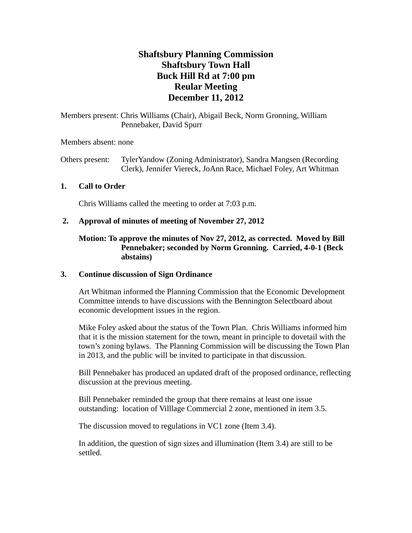# **Shaftsbury Planning Commission Shaftsbury Town Hall Buck Hill Rd at 7:00 pm Reular Meeting December 11, 2012**

Members present: Chris Williams (Chair), Abigail Beck, Norm Gronning, William Pennebaker, David Spurr

Members absent: none

Others present: TylerYandow (Zoning Administrator), Sandra Mangsen (Recording Clerk), Jennifer Viereck, JoAnn Race, Michael Foley, Art Whitman

# **1. Call to Order**

Chris Williams called the meeting to order at 7:03 p.m.

### **2. Approval of minutes of meeting of November 27, 2012**

# **Motion: To approve the minutes of Nov 27, 2012, as corrected. Moved by Bill Pennebaker; seconded by Norm Gronning. Carried, 4-0-1 (Beck abstains)**

#### **3. Continue discussion of Sign Ordinance**

Art Whitman informed the Planning Commission that the Economic Development Committee intends to have discussions with the Bennington Selectboard about economic development issues in the region.

Mike Foley asked about the status of the Town Plan. Chris Williams informed him that it is the mission statement for the town, meant in principle to dovetail with the town's zoning bylaws. The Planning Commission will be discussing the Town Plan in 2013, and the public will be invited to participate in that discussion.

Bill Pennebaker has produced an updated draft of the proposed ordinance, reflecting discussion at the previous meeting.

Bill Pennebaker reminded the group that there remains at least one issue outstanding: location of Villlage Commercial 2 zone, mentioned in item 3.5.

The discussion moved to regulations in VC1 zone (Item 3.4).

In addition, the question of sign sizes and illumination (Item 3.4) are still to be settled.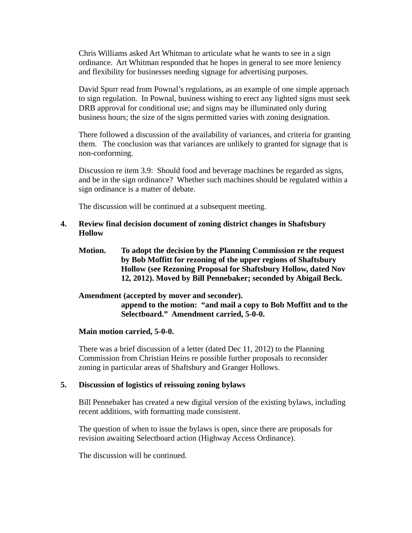Chris Williams asked Art Whitman to articulate what he wants to see in a sign ordinance. Art Whitman responded that he hopes in general to see more leniency and flexibility for businesses needing signage for advertising purposes.

David Spurr read from Pownal's regulations, as an example of one simple approach to sign regulation. In Pownal, business wishing to erect any lighted signs must seek DRB approval for conditional use; and signs may be illuminated only during business hours; the size of the signs permitted varies with zoning designation.

There followed a discussion of the availability of variances, and criteria for granting them. The conclusion was that variances are unlikely to granted for signage that is non-conforming.

Discussion re item 3.9: Should food and beverage machines be regarded as signs, and be in the sign ordinance? Whether such machines should be regulated within a sign ordinance is a matter of debate.

The discussion will be continued at a subsequent meeting.

#### **4. Review final decision document of zoning district changes in Shaftsbury Hollow**

**Motion. To adopt the decision by the Planning Commission re the request by Bob Moffitt for rezoning of the upper regions of Shaftsbury Hollow (see Rezoning Proposal for Shaftsbury Hollow, dated Nov 12, 2012). Moved by Bill Pennebaker; seconded by Abigail Beck.**

#### **Amendment (accepted by mover and seconder).**

**append to the motion: "and mail a copy to Bob Moffitt and to the Selectboard." Amendment carried, 5-0-0.** 

#### **Main motion carried, 5-0-0.**

There was a brief discussion of a letter (dated Dec 11, 2012) to the Planning Commission from Christian Heins re possible further proposals to reconsider zoning in particular areas of Shaftsbury and Granger Hollows.

#### **5. Discussion of logistics of reissuing zoning bylaws**

Bill Pennebaker has created a new digital version of the existing bylaws, including recent additions, with formatting made consistent.

The question of when to issue the bylaws is open, since there are proposals for revision awaiting Selectboard action (Highway Access Ordinance).

The discussion will be continued.